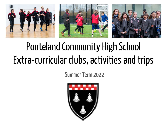

# Ponteland Community High School Extra-curricular clubs, activities and trips

Summer Term 2022

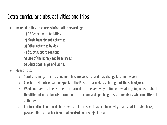# Extra-curricular clubs, activities and trips

- Included in this brochure is information regarding:
	- 1) PE Department Activities
	- 2) Music Department Activities
	- 3) Other activities by day
	- 4) Study support sessions
	- 5) Use of the library and base areas.
	- 6) Educational trips and visits.
- Please note:
	- $\circ$  Sports training, practices and matches are seasonal and may change later in the year
	- $\circ$  Check the PE noticeboard or speak to the PE staff for updates throughout the school year.
	- $\circ$  We do our best to keep students informed but the best way to find out what is going on is to check the different noticeboards throughout the school and speaking to staff members who run different activities.
	- $\circ$  If information is not available or you are interested in a certain activity that is not included here, please talk to a teacher from that curriculum or subject area.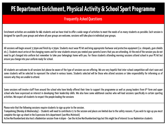#### Frequently Asked Questions

Enrichment activities are available for ALL students and we have tried to offer a wide range of activities to meet the needs of as many students as possible. Each session is designed for specific year groups and where all year groups are welcome, sessions will take place in individual year groups.

All sessions will begin around 3:30pm and finish by 4:30pm. Students must wear PE kit and bring appropriate footwear and protective equipment (i.e. shinpads, gum shields etc.). Students must arrive at the changing rooms and for new students ensure you remind your parents/carers that you are attending. At the end of the session you do not need to get changed into uniform but remember to take your belongings home with you. For those students attending morning sessions attend school in your PE kit but ensure you change into your uniform ready for school.

All students are welcome to all sessions but please be aware of the type of sessions we are offering. We are very hopeful that inter school competition will start soon and some students will be selected to represent the school in various teams. Students selected will be those who attend sessions or take responsibility for informing us of reasons why they are unable to attend.

Some sessions will involve staff from around the school who have kindly offered their time to support the programme as well as young leaders from 6<sup>th</sup> form and upper school who have expressed an interest in developing their leadership skills. We also have some additional coaches who will lead sessions specifically in certain sporting activities. We expect all students to respect the people leading the sessions

Please note that the following sessions require students to sign up prior to the session. Trampolining (Monday & Wednesday) – Students will need to contribute  $\epsilon$ 1 to the session and places are limited due to the safety reasons. If you wish to sign up you must complete the sign-up sheet in the Expressive Arts department (see Miss McIntosh) Active Northumberland also host a Badminton session from 4:00pm – See the Active Northumberland App but this might be of interest to our Badminton students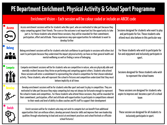#### Enrichment Vision – Each session will be colour coded or include an ABCDE code

| <b>Access</b>                    | Access enrichment sessions will be for students who like sport, who are motivated to take part because they<br>enjoy competing against their friends. The score or the outcome is not important but the opportunity to take<br>part is. For those students who attend these sessions, they will be rewarded for their commitment,<br>participation, effort and attitude. These experiences may open opportunities for individuals to want to<br>develop further                                                                                          | Sessions designed for students who want to play<br>and participate for fun. Those students who<br>attend must also behave in this particular way |
|----------------------------------|----------------------------------------------------------------------------------------------------------------------------------------------------------------------------------------------------------------------------------------------------------------------------------------------------------------------------------------------------------------------------------------------------------------------------------------------------------------------------------------------------------------------------------------------------------|--------------------------------------------------------------------------------------------------------------------------------------------------|
| <b>Belong</b><br>$\frac{1}{100}$ | Belong enrichment sessions will be for students who lack confidence to participate in sessions with others but<br>want to participate because they understand the impact physical activity can have on their general health and<br>mental wellbeing as well as finding a sense of belonging.                                                                                                                                                                                                                                                             | For those students who wish to participate for<br>fun and enjoyment and inclusively participate in<br>sport.                                     |
| <b>Compete</b>                   | Compete enrichment sessions will be for students who are competitive in nature, who are physically able and<br>mentally resilient because they thrive on performing and competing against others. Students who attend<br>these sessions will enter a commitment to representing the school in competition for that chosen individual<br>activity. These students, who will represent the school in fixtures and competition understand that they must<br>behave implicitly at all times                                                                  | Sessions designed for those students who wish<br>to represent the school teams                                                                   |
| <b>Develop</b>                   | Develop enrichment sessions will be for students who like sport and want to play in competition. They are<br>motivated to take part because they enjoy competing but may not always be fortunate enough to represent<br>the school in teams and competition For those students who attend these sessions, they will be rewarded for<br>their commitment, participation, effort and attitude with opportunities to participate in competitions relevant<br>to their needs and level of ability to allow coaches and PE staff to support their development | These sessions are designed for students who<br>aspire to improve and become a part of a school<br>team                                          |
| <b>Enrich</b>                    | Enrich sessions will be for students who may not wish to compete but can benefit from additional<br>opportunities that can enthuse others, develop personal character skills and improve their own leadership<br>qualities through volunteering to lead and assist at enrichment practices and school festivals or officiate<br>school fixtures/.                                                                                                                                                                                                        | These session are designed for all students to<br>inclusively participate in sport.                                                              |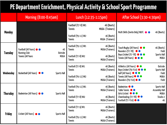|           | Morning (8:00-8:45am)                                       | Lunch (12:35-1:15pm)          |                                      | After School (3:30-4:30pm)                                                                                                                 |                                                               |
|-----------|-------------------------------------------------------------|-------------------------------|--------------------------------------|--------------------------------------------------------------------------------------------------------------------------------------------|---------------------------------------------------------------|
| Monday    |                                                             | Football (Y7-8) W1<br>Tennis  | 4G (Boots)<br>MUGA (Trainers)        | Multi Skills (Invite Only) NUFC<br>•                                                                                                       | 4G (Boots)                                                    |
|           |                                                             | Football (Y9-11) W2<br>Tennis | 4G (Boots)<br>MUGA (Trainers)        |                                                                                                                                            |                                                               |
|           | Football (All Years) $\bullet$<br>4G                        | Football (Y9-11) W1<br>Tennis | 4G (Boots)<br><b>MUGA</b> (Trainers) | Touch Rugby (All Years) ● ●<br>Rounders (Y7-Y8) •                                                                                          | 4G (Boots)<br>Field<br>Sports Hall<br><b>MUGA</b>             |
| Tuesday   | <b>Running Club</b><br>Outside<br>MUGA<br>Tennis (All Years | Football (Y7-8) W2<br>Tennis  | 4G (Boots)<br>MUGA (Trainers)        | Boys Cricket (Y7-Y8) • •<br>Tennis (All Years) ● ● ●                                                                                       |                                                               |
| Wednesday |                                                             | Football (Y7-8) W1<br>Tennis  | 4G (Boots)<br>MUGA (Trainers)        | Athletics (All Years) • •<br>Boys Cricket (Y9-Y10) ● ● ●                                                                                   | Outside<br>Sports Hall                                        |
|           | Basketball (All Years) •<br>Sports Hall                     | Football (Y9-11) W2<br>Tennis | 4G (Boots)<br>MUGA (Trainers)        | Golf (All Years) <b>O</b> $\bullet$<br>Tennis (All Years) <sup>o</sup><br>Rounders (Y9-Y10) • •                                            | Field<br><b>MUGA</b><br>Field                                 |
| Thursday  |                                                             | Football (Y9-11) W1<br>Tennis | 4G (Boots)<br>MUGA (Trainers)        | Badminton <sup>o</sup><br>Table Tennis <sup>O</sup><br>Girls Cricket <b>O O</b><br>Cheerleading (Y7-Y8) $\bullet$<br>Football (Y7-Y10) ● ● | Sports Hall<br><b>Assembly Hall</b><br>MUGA<br>Studio 2<br>46 |
|           | Badminton (All Years) • •<br>Sports Hall                    | Football (Y7-8) W2<br>Tennis  | 4G (Boots)<br>MUGA (Trainers)        |                                                                                                                                            |                                                               |
| Friday    |                                                             | Football (Y7-9) W1<br>Tennis  | 4G (Boots)<br>MUGA (Trainers)        |                                                                                                                                            |                                                               |
|           | Cricket (All Years) • •<br>Sports Hall                      | Football (Y9-11) W2<br>Tennis | 4G (Boots)<br>MUGA (Trainers)        |                                                                                                                                            |                                                               |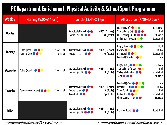| Week 2        | Morning (8:00-8:45am)                                                         | Lunch (12:45-2:15pm)                                                                                                             | After School (3:30-4:30pm)                                                                                                                                                                                                                     |  |
|---------------|-------------------------------------------------------------------------------|----------------------------------------------------------------------------------------------------------------------------------|------------------------------------------------------------------------------------------------------------------------------------------------------------------------------------------------------------------------------------------------|--|
| <b>Monday</b> |                                                                               | Basketball/Netball <b>O</b><br>MUGA (Trainers)<br>Football $(9-10)$ $\bullet$<br>4G (Boots)                                      | Football $(7-8)$ $\bullet$ $\bullet$<br>4G (Boots)<br>Trampolining $(7)$ $\bullet \bullet \bullet$<br>Hall<br>Cheerleading $(9-11)$ $\bullet$ $\bullet$<br>Studio 2<br>Badminton (4:00pm) <b>O</b><br>Sports Hall                              |  |
| Tuesday       | Futsal (Year 7) <b>O</b><br>Sports Hall<br>Running Club <b>O</b> O<br>Outside | Basketball/Netball <b>O</b><br>MUGA (Trainers)<br>Football (7-8)<br>4G (Boots)<br>$\bullet\bullet$                               | Rugby (Boys) <b>OCCO</b><br>Field<br><b>MUGA</b><br>Hockey $\bigcirc$<br>Basketball <b>OC</b><br>Sports Hall<br>Football (Girls Only) <b>O</b><br>4G                                                                                           |  |
| Wednesday     | Futsal (Year 8) <b>O</b><br>Sports Hall                                       | Basketball/Netball <b>O</b><br>MUGA (Trainers)<br>Football $(9-11)$ $\bullet$<br>4G (Boots)                                      | Rugby (Girls) $\bullet \bullet \bullet$<br>Field/4G<br>Trampolining $(8-10)$<br>Hall<br>Volleyball/Handball <b>O</b><br>Sports Hall<br>Studio 2<br>Yoga <b>O O</b>                                                                             |  |
| Thursday      | Badminton (All Years) <b>O</b><br>Sports Hall                                 | Basketball/Netball <b>O</b><br>MUGA (Trainers)<br>Football $(7-9)$ $\bullet$<br>4G (Boots)<br>Basketball <b>O</b><br>Sports Hall | Football $(9-10)$ $\bullet$ $\bullet$ $\bullet$<br>46<br>Netball $(7-13)$ $\bullet$ $\bullet$ $\bullet$<br><b>MUGA</b><br>Table Tennis <b>O</b> O<br>Hall<br>Badminton <b>O</b> O<br>Sports Hall<br>Cheerleading $(7-8)$ $\bullet$<br>Studio 2 |  |
| Friday        |                                                                               | Basketball/Netball <b>O</b><br>MUGA (Trainers)<br>Football $(9-11)$ $\bullet \bullet \bullet$<br>4G (Boots)                      | Inclusive Sports <b>O</b><br>Sports Hall                                                                                                                                                                                                       |  |

\*\*\***TrampoliningClub**will include cost of **£1 -** external coach **\*\*\* \*\*\*Badminton Monday Evenings** is organised through the **LeisureCentre**\*\*\*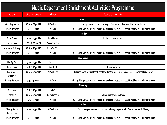### Music Department Enrichment Activities Programme

| <b>Activity</b>        | <b>When and Where</b> | <b>Ability</b>       | <b>Additional Information</b>                                                                       |  |
|------------------------|-----------------------|----------------------|-----------------------------------------------------------------------------------------------------|--|
|                        |                       |                      | Monday                                                                                              |  |
| <b>Whistling Sheep</b> | 3.30 - 4.30pm M4      | All Welcome          | This group meets every fortnight. See music notice board for future dates.                          |  |
| Players Network        | $3.30 - 5.00$ pm      | All Year             | MP1 - 5. The 5 music practice rooms are available to us, please see Mr Noble / Miss Inkster to book |  |
|                        |                       |                      | Tuesday                                                                                             |  |
| Flute Group            | 1.45 - 2.25pm M4      | <b>Flute Players</b> | All flute players welcome                                                                           |  |
| Senior Choir           | 1.55 - 2.25pm M2      | Years 10 - 13        |                                                                                                     |  |
| GCSE Music Catch up    | 3.25 - 4.25pm M2      | Years 10 / 11        |                                                                                                     |  |
| Players Network        | $3.30 - 5.00$ pm      | All Year             | MP1 - 5. The 5 music practice rooms are available to us, please see Mr Noble / Miss Inkster to book |  |
|                        |                       |                      | Wednesday                                                                                           |  |
| Little Big Band        | 1.55 - 2.25pm M4      | <b>Members</b>       |                                                                                                     |  |
| Junior Choir           | 1.45 - 2.15pm M3      | Year $7 - 9$         | All are welcome                                                                                     |  |
| Theory Group           | 3.25 - 4.25pm M2      | All Welcome          | This is an open session for students wishing to prepare for Grade 5 and upwards Music Theory        |  |
| Grade $5+$             |                       |                      |                                                                                                     |  |
| Players Network        | $3.30 - 5.00$ pm      | All Year             | MP1 - 5. The 5 music practice rooms are available to us, please see Mr Noble / Miss Inkster to book |  |
|                        |                       |                      | Thursday                                                                                            |  |
| Windband               | 1.55 - 2.25pm M4      | Grade $3+$           |                                                                                                     |  |
| Ensemble               | 3.25 - 4.25pm M4      | Up to Grade 3        | All instrumentalist welcome                                                                         |  |
| Players Network        | $3.30 - 5.00$ pm      | All Year             | MP1 - 5. The 5 music practice rooms are available to us, please see Mr Noble / Miss Inkster to book |  |
|                        |                       |                      | Friday                                                                                              |  |
| Theory Group           | 1.45 - 2.25pm M3      | All Welcome          | This is an open session for students wishing to prepare for Grade 1 - 4 Music Theory                |  |
| Grade $1 - 4$          |                       |                      |                                                                                                     |  |
| Players Network        | $3.30 - 5.00$ pm      | All Year             | MP1 - 5. The 5 music practice rooms are available to us, please see Mr Noble / Miss Inkster to book |  |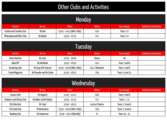# Other Clubs and Activities

| Monday                     |               |                             |              |              |                               |  |
|----------------------------|---------------|-----------------------------|--------------|--------------|-------------------------------|--|
| Activity                   | <b>Run by</b> | When                        | <b>Where</b> | Year Group(s | <b>Additional Information</b> |  |
| Fashion and Textiles Club  | Ms Boe        | $13:45 - 14:15$ (Wk 2 Only) | 614          | Years 7-9    |                               |  |
| Philosophy and Ethics Club | Ms Naylor     | $13:45 - 14:15$             | F17          | Years 7-9    |                               |  |

| Tuesday                                                                                     |                          |                           |                 |                 |  |  |
|---------------------------------------------------------------------------------------------|--------------------------|---------------------------|-----------------|-----------------|--|--|
| <b>Additional Information</b><br>When<br>Year Group(s<br><b>Where</b><br>Run by<br>Activity |                          |                           |                 |                 |  |  |
| <b>Chess Matches</b>                                                                        | Ms Laws                  | $15:25 - 16:00$           | Library         | All             |  |  |
| Bake Off                                                                                    | Ms Wickham               | $15:25 - 16:30$           | 612             | Years 7 and 8   |  |  |
| Gardening Club                                                                              | Ms Gray & Mr Clayson     | 15:30 - 16:30 (Wk 2 Only) | G11 / Allotment | Years 7 and 8   |  |  |
| School Magazine                                                                             | Ms Pounder and Ms Clarke | $15:30 - 16:15$           | F <sub>20</sub> | Years 12 and 13 |  |  |

| Wednesday                                                                                          |                        |                           |                 |                  |  |  |
|----------------------------------------------------------------------------------------------------|------------------------|---------------------------|-----------------|------------------|--|--|
| <b>When</b><br><b>Additional Information</b><br>Run by<br>Year Group(s<br><b>Where</b><br>Activity |                        |                           |                 |                  |  |  |
| Science Club                                                                                       | Ms Hegarty             | $13:45 - 14:15$           | 618             | Years 7 and 8    |  |  |
| Kindness and Charity Club                                                                          | Ms Baker and Ms Naylor | $13:45 - 14:15$           | F17             | Years 7 - 11     |  |  |
| KS3 Film Club                                                                                      | Mr Todd                | $15:30 - 16:15$           | Lecture Theatre | Years 7, 8 and 9 |  |  |
| KS3 Code Club                                                                                      | Mr Richardson          | 15;30 - 16:30 (Wk 1 Only) | S <sub>19</sub> | Years 7, 8 and 9 |  |  |
| Reading Club                                                                                       | Ms Emmerson            | 15:30 - 16:15 (Monthly)   | F1              | Years 10 - 13    |  |  |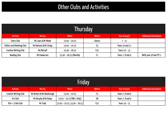### Other Clubs and Activities

| <b>Thursday</b>            |                                                                                 |                        |                 |                  |                         |  |  |
|----------------------------|---------------------------------------------------------------------------------|------------------------|-----------------|------------------|-------------------------|--|--|
| Activity                   | <b>Additional Information</b><br>When<br>Year Group(s<br>Run by<br><b>Where</b> |                        |                 |                  |                         |  |  |
| <b>Chess Club</b>          | Ms Laws & Mr Wade                                                               | $13:45 - 14:15$        | Library         | $7 - 11$         |                         |  |  |
| Politics and Debating Club | Ms Davison & Ms Stripp                                                          | $13:45 - 14:15$        | S3              | Years 10 and 11  |                         |  |  |
| Creative Writing Club      | Ms Metcalf                                                                      | $15:30 - 16:15$        | F <sub>25</sub> | Years $10 - 13$  |                         |  |  |
| <b>Reading Club</b>        | Ms Emmerson                                                                     | 15:30 - 16:15 (Monthly |                 | Years 7, 8 and 9 | With year 9 from P.P.S. |  |  |

| Friday                |                                                                                 |                              |                 |                  |  |  |
|-----------------------|---------------------------------------------------------------------------------|------------------------------|-----------------|------------------|--|--|
| Activity              | When<br>Year Group(s<br><b>Additional Information</b><br><b>Where</b><br>Run by |                              |                 |                  |  |  |
| Creative Writing Club | Ms Brewis & Ms Bambrough                                                        | $13:45 - 14:15$              |                 | Years 7, 8 and 9 |  |  |
| Art Club              | Ms Murphy & Ms Kemp                                                             | $13:45 - 14:15$ (Wk 1 Only)  | G8              | Years 7, 8 and 9 |  |  |
| $KS4 + 5$ Film Club   | Mr Todd                                                                         | 13:45 – 14:15, 15:30 – 16:15 | F <sub>22</sub> | Years 10 - 13    |  |  |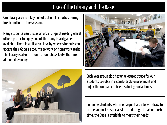# Use of the Library and the Base

Our library area is a key hub of optional activities during break and lunchtime sessions.

Many students use this as an area for quiet reading whilst others prefer to enjoy one of the many board games available. There is an IT area close by where students can access their Google accounts to work on homework tasks. The library is also the home of our Chess Clubs that are attended by many.





Each year group also has an allocated space for our students to relax in a comfortable environment and enjoy the company of friends during social times.

For some students who need a quiet area to withdraw to or the support of specialist staff during a break or lunch time, the Base is available to meet their needs.